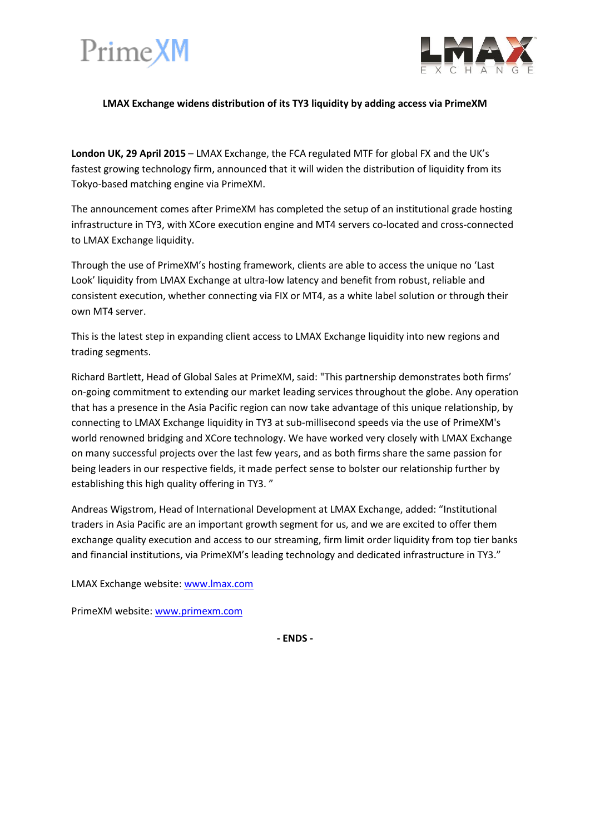



### **LMAX Exchange widens distribution of its TY3 liquidity by adding access via PrimeXM**

**London UK, 29 April 2015** – LMAX Exchange, the FCA regulated MTF for global FX and the UK's fastest growing technology firm, announced that it will widen the distribution of liquidity from its Tokyo-based matching engine via PrimeXM.

The announcement comes after PrimeXM has completed the setup of an institutional grade hosting infrastructure in TY3, with XCore execution engine and MT4 servers co-located and cross-connected to LMAX Exchange liquidity.

Through the use of PrimeXM's hosting framework, clients are able to access the unique no 'Last Look' liquidity from LMAX Exchange at ultra-low latency and benefit from robust, reliable and consistent execution, whether connecting via FIX or MT4, as a white label solution or through their own MT4 server.

This is the latest step in expanding client access to LMAX Exchange liquidity into new regions and trading segments.

Richard Bartlett, Head of Global Sales at PrimeXM, said: "This partnership demonstrates both firms' on-going commitment to extending our market leading services throughout the globe. Any operation that has a presence in the Asia Pacific region can now take advantage of this unique relationship, by connecting to LMAX Exchange liquidity in TY3 at sub-millisecond speeds via the use of PrimeXM's world renowned bridging and XCore technology. We have worked very closely with LMAX Exchange on many successful projects over the last few years, and as both firms share the same passion for being leaders in our respective fields, it made perfect sense to bolster our relationship further by establishing this high quality offering in TY3. "

Andreas Wigstrom, Head of International Development at LMAX Exchange, added: "Institutional traders in Asia Pacific are an important growth segment for us, and we are excited to offer them exchange quality execution and access to our streaming, firm limit order liquidity from top tier banks and financial institutions, via PrimeXM's leading technology and dedicated infrastructure in TY3."

LMAX Exchange website: [www.lmax.com](http://www.lmax.com/)

PrimeXM website[: www.primexm.com](http://www.primexm.com/)

**- ENDS -**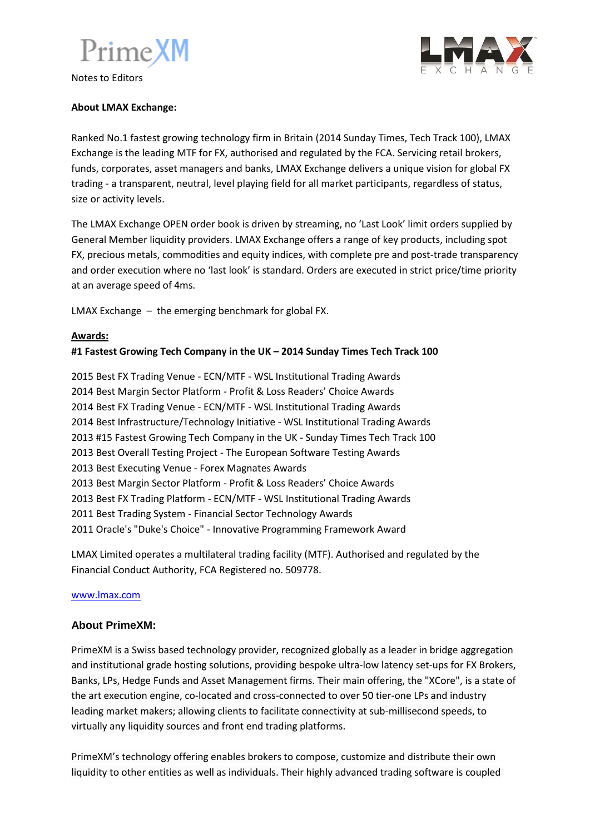# PrimeXM

Notes to Editors



## **About LMAX Exchange:**

Ranked No.1 fastest growing technology firm in Britain (2014 Sunday Times, Tech Track 100), LMAX Exchange is the leading MTF for FX, authorised and regulated by the FCA. Servicing retail brokers, funds, corporates, asset managers and banks, LMAX Exchange delivers a unique vision for global FX trading - a transparent, neutral, level playing field for all market participants, regardless of status, size or activity levels.

The LMAX Exchange OPEN order book is driven by streaming, no 'Last Look' limit orders supplied by General Member liquidity providers. LMAX Exchange offers a range of key products, including spot FX, precious metals, commodities and equity indices, with complete pre and post-trade transparency and order execution where no 'last look' is standard. Orders are executed in strict price/time priority at an average speed of 4ms.

LMAX Exchange – the emerging benchmark for global FX.

### **Awards:**

## **#1 Fastest Growing Tech Company in the UK – 2014 Sunday Times Tech Track 100**

2015 Best FX Trading Venue - ECN/MTF - WSL Institutional Trading Awards 2014 Best Margin Sector Platform - Profit & Loss Readers' Choice Awards 2014 Best FX Trading Venue - ECN/MTF - WSL Institutional Trading Awards 2014 Best Infrastructure/Technology Initiative - WSL Institutional Trading Awards 2013 #15 Fastest Growing Tech Company in the UK - Sunday Times Tech Track 100 2013 Best Overall Testing Project - The European Software Testing Awards 2013 Best Executing Venue - Forex Magnates Awards 2013 Best Margin Sector Platform - Profit & Loss Readers' Choice Awards 2013 Best FX Trading Platform - ECN/MTF - WSL Institutional Trading Awards 2011 Best Trading System - Financial Sector Technology Awards 2011 Oracle's "Duke's Choice" - Innovative Programming Framework Award

LMAX Limited operates a multilateral trading facility (MTF). Authorised and regulated by the Financial Conduct Authority, FCA Registered no. 509778.

#### [www.lmax.com](http://www.lmax.com/)

## **About PrimeXM:**

PrimeXM is a Swiss based technology provider, recognized globally as a leader in bridge aggregation and institutional grade hosting solutions, providing bespoke ultra-low latency set-ups for FX Brokers, Banks, LPs, Hedge Funds and Asset Management firms. Their main offering, the "XCore", is a state of the art execution engine, co-located and cross-connected to over 50 tier-one LPs and industry leading market makers; allowing clients to facilitate connectivity at sub-millisecond speeds, to virtually any liquidity sources and front end trading platforms.

PrimeXM's technology offering enables brokers to compose, customize and distribute their own liquidity to other entities as well as individuals. Their highly advanced trading software is coupled